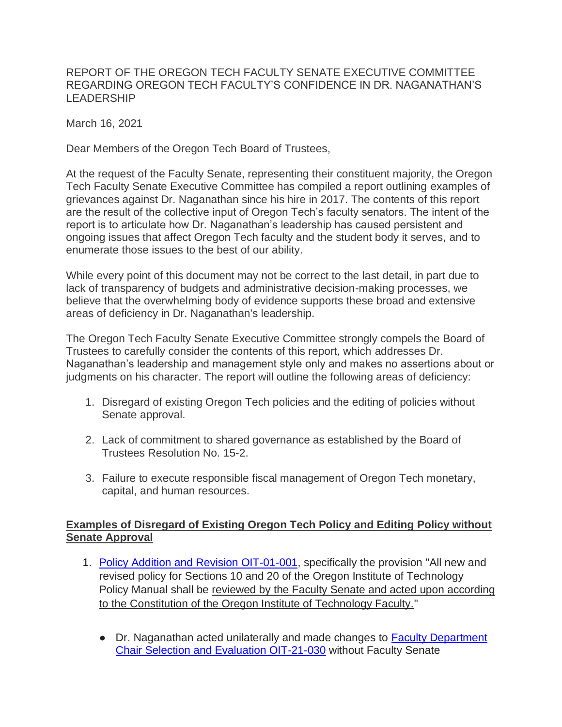REPORT OF THE OREGON TECH FACULTY SENATE EXECUTIVE COMMITTEE REGARDING OREGON TECH FACULTY'S CONFIDENCE IN DR. NAGANATHAN'S LEADERSHIP

March 16, 2021

Dear Members of the Oregon Tech Board of Trustees,

At the request of the Faculty Senate, representing their constituent majority, the Oregon Tech Faculty Senate Executive Committee has compiled a report outlining examples of grievances against Dr. Naganathan since his hire in 2017. The contents of this report are the result of the collective input of Oregon Tech's faculty senators. The intent of the report is to articulate how Dr. Naganathan's leadership has caused persistent and ongoing issues that affect Oregon Tech faculty and the student body it serves, and to enumerate those issues to the best of our ability.

While every point of this document may not be correct to the last detail, in part due to lack of transparency of budgets and administrative decision-making processes, we believe that the overwhelming body of evidence supports these broad and extensive areas of deficiency in Dr. Naganathan's leadership.

The Oregon Tech Faculty Senate Executive Committee strongly compels the Board of Trustees to carefully consider the contents of this report, which addresses Dr. Naganathan's leadership and management style only and makes no assertions about or judgments on his character. The report will outline the following areas of deficiency:

- 1. Disregard of existing Oregon Tech policies and the editing of policies without Senate approval.
- 2. Lack of commitment to shared governance as established by the Board of Trustees Resolution No. 15-2.
- 3. Failure to execute responsible fiscal management of Oregon Tech monetary, capital, and human resources.

### **Examples of Disregard of Existing Oregon Tech Policy and Editing Policy without Senate Approval**

- 1. [Policy Addition and Revision OIT-01-001,](https://www.oit.edu/sites/default/files/2020/documents/policy-addition-and-revision-oit-01-001.pdf) specifically the provision "All new and revised policy for Sections 10 and 20 of the Oregon Institute of Technology Policy Manual shall be reviewed by the Faculty Senate and acted upon according to the Constitution of the Oregon Institute of Technology Faculty."
	- Dr. Naganathan acted unilaterally and made changes to Faculty Department [Chair Selection and Evaluation OIT-21-030](https://www.oit.edu/sites/default/files/2020/documents/faculty-department-chair-selection-and-evaluation-oit-21-030.pdf) without Faculty Senate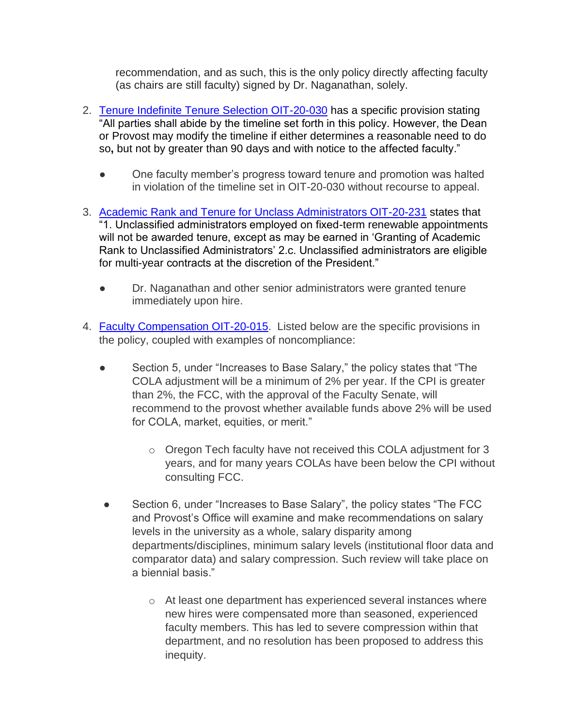recommendation, and as such, this is the only policy directly affecting faculty (as chairs are still faculty) signed by Dr. Naganathan, solely.

- 2. [Tenure Indefinite Tenure Selection OIT-20-030](https://www.oit.edu/sites/default/files/2020/documents/tenure-indefinite-tenure-selection-oit-20-030.pdf) has a specific provision stating "All parties shall abide by the timeline set forth in this policy. However, the Dean or Provost may modify the timeline if either determines a reasonable need to do so**,** but not by greater than 90 days and with notice to the affected faculty."
	- One faculty member's progress toward tenure and promotion was halted in violation of the timeline set in OIT-20-030 without recourse to appeal.
- 3. [Academic Rank and Tenure for Unclass Administrators OIT-20-231](https://www.oit.edu/sites/default/files/2020/documents/academic-rank-and-tenure-for-unclass-administrators-oit-20-231.pdf) states that "1. Unclassified administrators employed on fixed-term renewable appointments will not be awarded tenure, except as may be earned in 'Granting of Academic Rank to Unclassified Administrators' 2.c. Unclassified administrators are eligible for multi-year contracts at the discretion of the President."
	- Dr. Naganathan and other senior administrators were granted tenure immediately upon hire.
- 4. [Faculty Compensation OIT-20-015.](https://www.oit.edu/sites/default/files/2020/documents/faculty-compensation-oit-20-015.pdf) Listed below are the specific provisions in the policy, coupled with examples of noncompliance:
	- Section 5, under "Increases to Base Salary," the policy states that "The COLA adjustment will be a minimum of 2% per year. If the CPI is greater than 2%, the FCC, with the approval of the Faculty Senate, will recommend to the provost whether available funds above 2% will be used for COLA, market, equities, or merit."
		- o Oregon Tech faculty have not received this COLA adjustment for 3 years, and for many years COLAs have been below the CPI without consulting FCC.
	- Section 6, under "Increases to Base Salary", the policy states "The FCC and Provost's Office will examine and make recommendations on salary levels in the university as a whole, salary disparity among departments/disciplines, minimum salary levels (institutional floor data and comparator data) and salary compression. Such review will take place on a biennial basis."
		- o At least one department has experienced several instances where new hires were compensated more than seasoned, experienced faculty members. This has led to severe compression within that department, and no resolution has been proposed to address this inequity.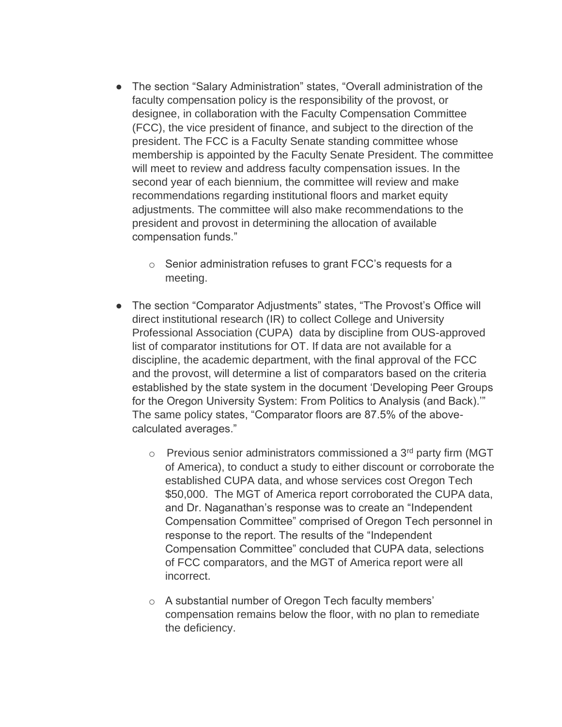- The section "Salary Administration" states, "Overall administration of the faculty compensation policy is the responsibility of the provost, or designee, in collaboration with the Faculty Compensation Committee (FCC), the vice president of finance, and subject to the direction of the president. The FCC is a Faculty Senate standing committee whose membership is appointed by the Faculty Senate President. The committee will meet to review and address faculty compensation issues. In the second year of each biennium, the committee will review and make recommendations regarding institutional floors and market equity adjustments. The committee will also make recommendations to the president and provost in determining the allocation of available compensation funds."
	- o Senior administration refuses to grant FCC's requests for a meeting.
- The section "Comparator Adjustments" states, "The Provost's Office will direct institutional research (IR) to collect College and University Professional Association (CUPA) data by discipline from OUS-approved list of comparator institutions for OT. If data are not available for a discipline, the academic department, with the final approval of the FCC and the provost, will determine a list of comparators based on the criteria established by the state system in the document 'Developing Peer Groups for the Oregon University System: From Politics to Analysis (and Back).'" The same policy states, "Comparator floors are 87.5% of the abovecalculated averages."
	- $\circ$  Previous senior administrators commissioned a 3<sup>rd</sup> party firm (MGT) of America), to conduct a study to either discount or corroborate the established CUPA data, and whose services cost Oregon Tech \$50,000. The MGT of America report corroborated the CUPA data, and Dr. Naganathan's response was to create an "Independent Compensation Committee" comprised of Oregon Tech personnel in response to the report. The results of the "Independent Compensation Committee" concluded that CUPA data, selections of FCC comparators, and the MGT of America report were all incorrect.
	- o A substantial number of Oregon Tech faculty members' compensation remains below the floor, with no plan to remediate the deficiency.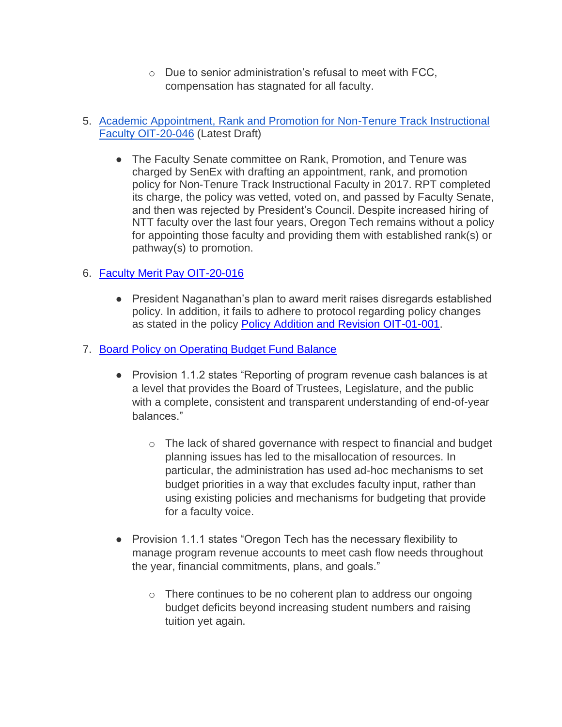o Due to senior administration's refusal to meet with FCC, compensation has stagnated for all faculty.

## 5. [Academic Appointment, Rank and Promotion for Non-Tenure Track Instructional](https://oregontech-my.sharepoint.com/:b:/g/personal/ben_bunting_oit_edu/EWnWVMTWi1RKmsLVwtI30ZcBJLC9RpC2o6Pvfa-8UYFRqQ?e=LNhyXh)  [Faculty OIT-20-046](https://oregontech-my.sharepoint.com/:b:/g/personal/ben_bunting_oit_edu/EWnWVMTWi1RKmsLVwtI30ZcBJLC9RpC2o6Pvfa-8UYFRqQ?e=LNhyXh) (Latest Draft)

• The Faculty Senate committee on Rank, Promotion, and Tenure was charged by SenEx with drafting an appointment, rank, and promotion policy for Non-Tenure Track Instructional Faculty in 2017. RPT completed its charge, the policy was vetted, voted on, and passed by Faculty Senate, and then was rejected by President's Council. Despite increased hiring of NTT faculty over the last four years, Oregon Tech remains without a policy for appointing those faculty and providing them with established rank(s) or pathway(s) to promotion.

# 6. [Faculty Merit Pay OIT-20-016](https://www.oit.edu/sites/default/files/2020/documents/faculty-merit-pay-oit-20-016.pdf)

● President Naganathan's plan to award merit raises disregards established policy. In addition, it fails to adhere to protocol regarding policy changes as stated in the policy [Policy Addition and Revision OIT-01-001.](https://www.oit.edu/sites/default/files/2020/documents/policy-addition-and-revision-oit-01-001.pdf)

## 7. [Board Policy on Operating Budget Fund Balance](https://www.oit.edu/sites/default/files/2020/documents/policy-on-operating-budget-fund-balance-22feb16.pdf)

- Provision 1.1.2 states "Reporting of program revenue cash balances is at a level that provides the Board of Trustees, Legislature, and the public with a complete, consistent and transparent understanding of end-of-year balances."
	- o The lack of shared governance with respect to financial and budget planning issues has led to the misallocation of resources. In particular, the administration has used ad-hoc mechanisms to set budget priorities in a way that excludes faculty input, rather than using existing policies and mechanisms for budgeting that provide for a faculty voice.
- Provision 1.1.1 states "Oregon Tech has the necessary flexibility to manage program revenue accounts to meet cash flow needs throughout the year, financial commitments, plans, and goals."
	- o There continues to be no coherent plan to address our ongoing budget deficits beyond increasing student numbers and raising tuition yet again.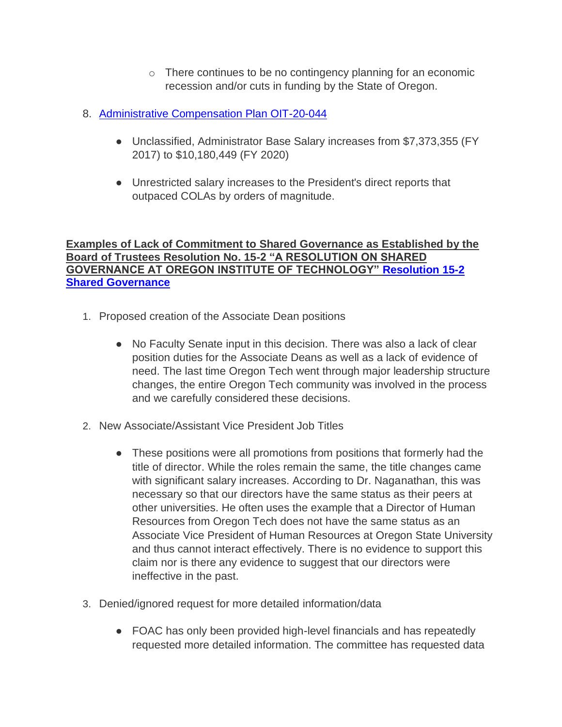- o There continues to be no contingency planning for an economic recession and/or cuts in funding by the State of Oregon.
- 8. [Administrative Compensation Plan OIT-20-044](https://www.oit.edu/sites/default/files/2020/documents/administrative-compensation-plan-oit-20-044.pdf)
	- Unclassified, Administrator Base Salary increases from \$7,373,355 (FY 2017) to \$10,180,449 (FY 2020)
	- Unrestricted salary increases to the President's direct reports that outpaced COLAs by orders of magnitude.

## **Examples of Lack of Commitment to Shared Governance as Established by the Board of Trustees Resolution No. 15-2 "A RESOLUTION ON SHARED GOVERNANCE AT OREGON INSTITUTE OF TECHNOLOGY" [Resolution 15-2](https://www.oit.edu/sites/default/files/2020/documents/15-2-shared-governance-signed.pdf)  [Shared Governance](https://www.oit.edu/sites/default/files/2020/documents/15-2-shared-governance-signed.pdf)**

- 1. Proposed creation of the Associate Dean positions
	- No Faculty Senate input in this decision. There was also a lack of clear position duties for the Associate Deans as well as a lack of evidence of need. The last time Oregon Tech went through major leadership structure changes, the entire Oregon Tech community was involved in the process and we carefully considered these decisions.
- 2. New Associate/Assistant Vice President Job Titles
	- These positions were all promotions from positions that formerly had the title of director. While the roles remain the same, the title changes came with significant salary increases. According to Dr. Naganathan, this was necessary so that our directors have the same status as their peers at other universities. He often uses the example that a Director of Human Resources from Oregon Tech does not have the same status as an Associate Vice President of Human Resources at Oregon State University and thus cannot interact effectively. There is no evidence to support this claim nor is there any evidence to suggest that our directors were ineffective in the past.
- 3. Denied/ignored request for more detailed information/data
	- FOAC has only been provided high-level financials and has repeatedly requested more detailed information. The committee has requested data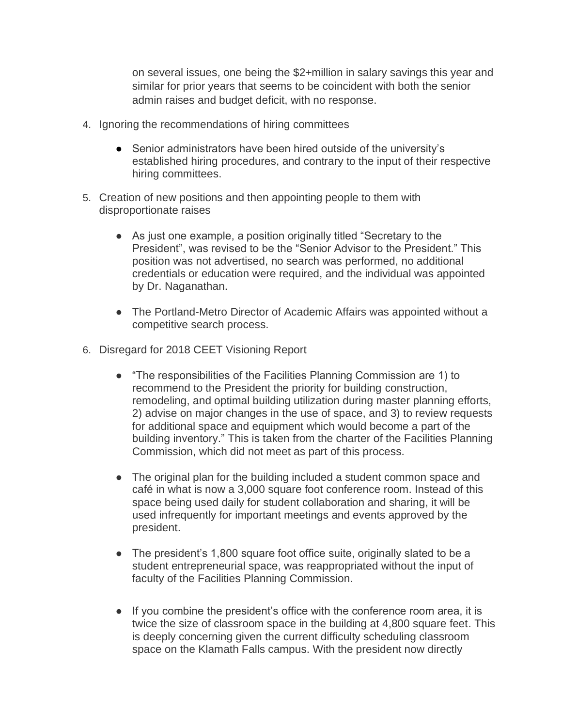on several issues, one being the \$2+million in salary savings this year and similar for prior years that seems to be coincident with both the senior admin raises and budget deficit, with no response.

- 4. Ignoring the recommendations of hiring committees
	- Senior administrators have been hired outside of the university's established hiring procedures, and contrary to the input of their respective hiring committees.
- 5. Creation of new positions and then appointing people to them with disproportionate raises
	- As just one example, a position originally titled "Secretary to the President", was revised to be the "Senior Advisor to the President." This position was not advertised, no search was performed, no additional credentials or education were required, and the individual was appointed by Dr. Naganathan.
	- The Portland-Metro Director of Academic Affairs was appointed without a competitive search process.
- 6. Disregard for 2018 CEET Visioning Report
	- "The responsibilities of the Facilities Planning Commission are 1) to recommend to the President the priority for building construction, remodeling, and optimal building utilization during master planning efforts, 2) advise on major changes in the use of space, and 3) to review requests for additional space and equipment which would become a part of the building inventory." This is taken from the charter of the Facilities Planning Commission, which did not meet as part of this process.
	- The original plan for the building included a student common space and café in what is now a 3,000 square foot conference room. Instead of this space being used daily for student collaboration and sharing, it will be used infrequently for important meetings and events approved by the president.
	- The president's 1,800 square foot office suite, originally slated to be a student entrepreneurial space, was reappropriated without the input of faculty of the Facilities Planning Commission.
	- If you combine the president's office with the conference room area, it is twice the size of classroom space in the building at 4,800 square feet. This is deeply concerning given the current difficulty scheduling classroom space on the Klamath Falls campus. With the president now directly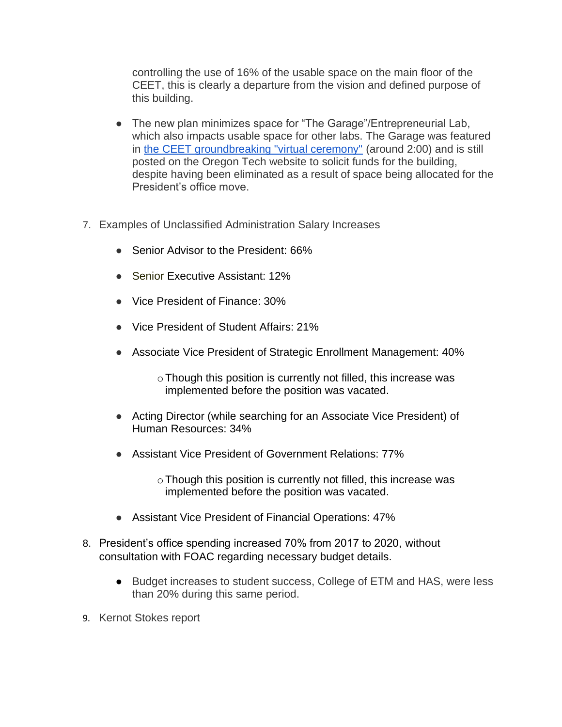controlling the use of 16% of the usable space on the main floor of the CEET, this is clearly a departure from the vision and defined purpose of this building.

- The new plan minimizes space for "The Garage"/Entrepreneurial Lab, which also impacts usable space for other labs. The Garage was featured in [the CEET groundbreaking "virtual ceremony"](https://www.oit.edu/ceet-groundbreaking) (around 2:00) and is still posted on the Oregon Tech website to solicit funds for the building, despite having been eliminated as a result of space being allocated for the President's office move.
- 7. Examples of Unclassified Administration Salary Increases
	- Senior Advisor to the President: 66%
	- Senior Executive Assistant: 12%
	- Vice President of Finance: 30%
	- Vice President of Student Affairs: 21%
	- Associate Vice President of Strategic Enrollment Management: 40%

 $\circ$  Though this position is currently not filled, this increase was implemented before the position was vacated.

- Acting Director (while searching for an Associate Vice President) of Human Resources: 34%
- Assistant Vice President of Government Relations: 77%

o Though this position is currently not filled, this increase was implemented before the position was vacated.

- Assistant Vice President of Financial Operations: 47%
- 8. President's office spending increased 70% from 2017 to 2020, without consultation with FOAC regarding necessary budget details.
	- Budget increases to student success, College of ETM and HAS, were less than 20% during this same period.
- 9. Kernot Stokes report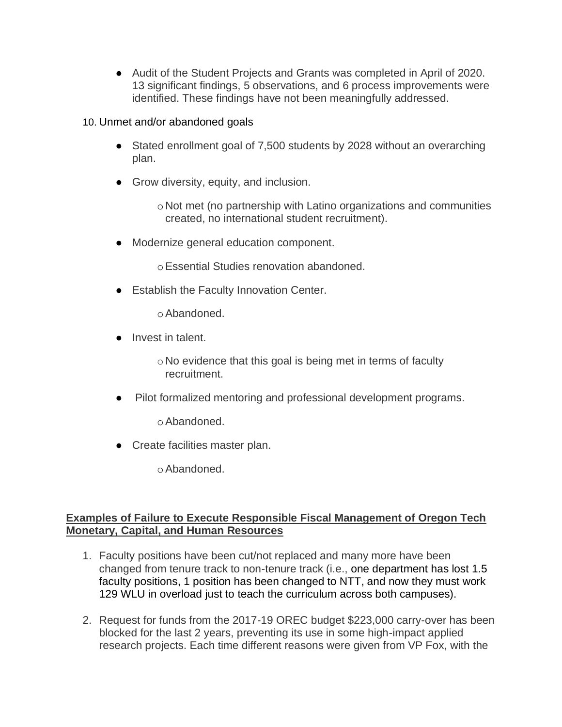● Audit of the Student Projects and Grants was completed in April of 2020. 13 significant findings, 5 observations, and 6 process improvements were identified. These findings have not been meaningfully addressed.

### 10. Unmet and/or abandoned goals

- Stated enrollment goal of 7,500 students by 2028 without an overarching plan.
- Grow diversity, equity, and inclusion.

oNot met (no partnership with Latino organizations and communities created, no international student recruitment).

● Modernize general education component.

oEssential Studies renovation abandoned.

● Establish the Faculty Innovation Center.

oAbandoned.

● Invest in talent.

 $\circ$  No evidence that this goal is being met in terms of faculty recruitment.

● Pilot formalized mentoring and professional development programs.

oAbandoned.

● Create facilities master plan.

oAbandoned.

### **Examples of Failure to Execute Responsible Fiscal Management of Oregon Tech Monetary, Capital, and Human Resources**

- 1. Faculty positions have been cut/not replaced and many more have been changed from tenure track to non-tenure track (i.e., one department has lost 1.5 faculty positions, 1 position has been changed to NTT, and now they must work 129 WLU in overload just to teach the curriculum across both campuses).
- 2. Request for funds from the 2017-19 OREC budget \$223,000 carry-over has been blocked for the last 2 years, preventing its use in some high-impact applied research projects. Each time different reasons were given from VP Fox, with the